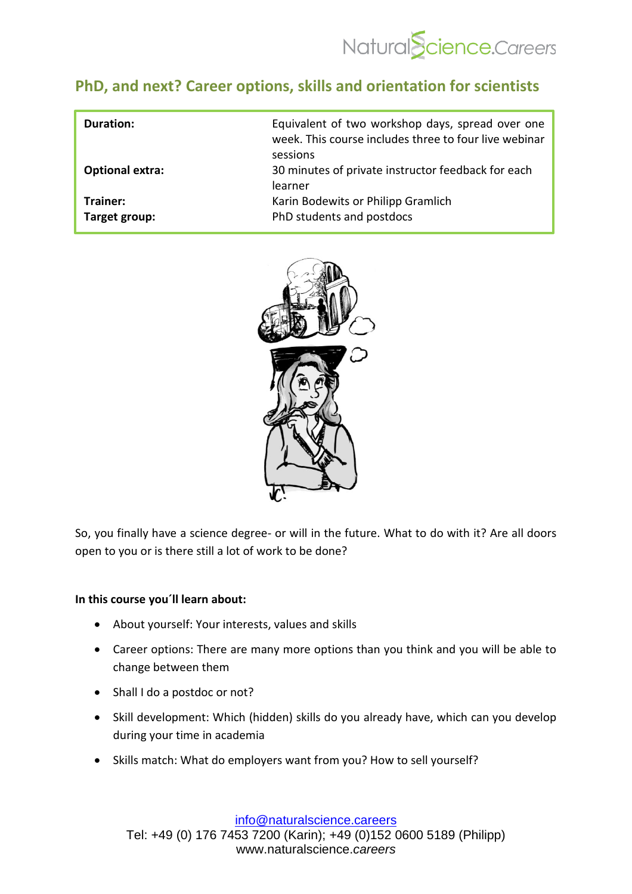

## **[PhD, and next?](https://academy.naturalscience.careers/course?courseid=preview-career-development) Career options, skills and orientation for scientists**

| Duration:                 | Equivalent of two workshop days, spread over one<br>week. This course includes three to four live webinar<br>sessions |
|---------------------------|-----------------------------------------------------------------------------------------------------------------------|
| <b>Optional extra:</b>    | 30 minutes of private instructor feedback for each<br>learner                                                         |
| Trainer:<br>Target group: | Karin Bodewits or Philipp Gramlich<br>PhD students and postdocs                                                       |



So, you finally have a science degree- or will in the future. What to do with it? Are all doors open to you or is there still a lot of work to be done?

## **In this course you´ll learn about:**

- About yourself: Your interests, values and skills
- Career options: There are many more options than you think and you will be able to change between them
- Shall I do a postdoc or not?
- Skill development: Which (hidden) skills do you already have, which can you develop during your time in academia
- Skills match: What do employers want from you? How to sell yourself?